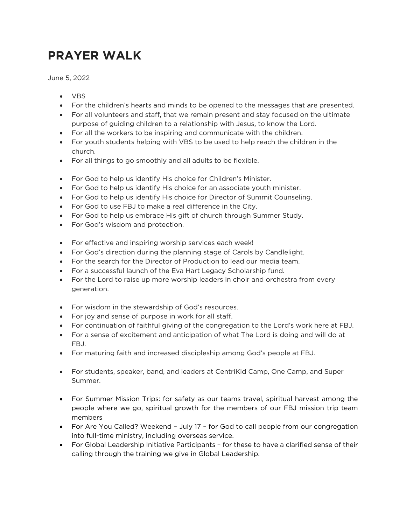## **PRAYER WALK**

June 5, 2022

- VBS
- For the children's hearts and minds to be opened to the messages that are presented.
- For all volunteers and staff, that we remain present and stay focused on the ultimate purpose of guiding children to a relationship with Jesus, to know the Lord.
- For all the workers to be inspiring and communicate with the children.
- For youth students helping with VBS to be used to help reach the children in the church.
- For all things to go smoothly and all adults to be flexible.
- For God to help us identify His choice for Children's Minister.
- For God to help us identify His choice for an associate youth minister.
- For God to help us identify His choice for Director of Summit Counseling.
- For God to use FBJ to make a real difference in the City.
- For God to help us embrace His gift of church through Summer Study.
- For God's wisdom and protection.
- For effective and inspiring worship services each week!
- For God's direction during the planning stage of Carols by Candlelight.
- For the search for the Director of Production to lead our media team.
- For a successful launch of the Eva Hart Legacy Scholarship fund.
- For the Lord to raise up more worship leaders in choir and orchestra from every generation.
- For wisdom in the stewardship of God's resources.
- For joy and sense of purpose in work for all staff.
- For continuation of faithful giving of the congregation to the Lord's work here at FBJ.
- For a sense of excitement and anticipation of what The Lord is doing and will do at FBJ.
- For maturing faith and increased discipleship among God's people at FBJ.
- For students, speaker, band, and leaders at CentriKid Camp, One Camp, and Super Summer.
- For Summer Mission Trips: for safety as our teams travel, spiritual harvest among the people where we go, spiritual growth for the members of our FBJ mission trip team members
- For Are You Called? Weekend July 17 for God to call people from our congregation into full-time ministry, including overseas service.
- For Global Leadership Initiative Participants for these to have a clarified sense of their calling through the training we give in Global Leadership.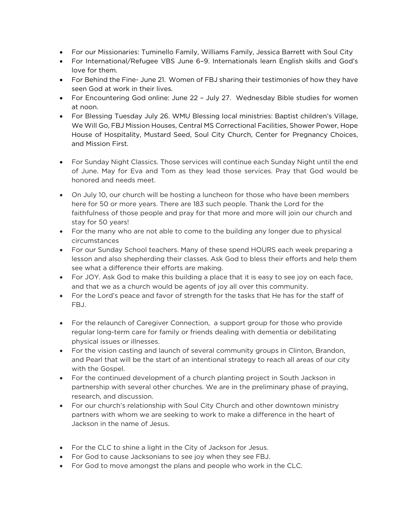- For our Missionaries: Tuminello Family, Williams Family, Jessica Barrett with Soul City
- For International/Refugee VBS June 6–9. Internationals learn English skills and God's love for them.
- For Behind the Fine- June 21. Women of FBJ sharing their testimonies of how they have seen God at work in their lives.
- For Encountering God online: June 22 July 27. Wednesday Bible studies for women at noon.
- For Blessing Tuesday July 26. WMU Blessing local ministries: Baptist children's Village, We Will Go, FBJ Mission Houses, Central MS Correctional Facilities, Shower Power, Hope House of Hospitality, Mustard Seed, Soul City Church, Center for Pregnancy Choices, and Mission First.
- For Sunday Night Classics. Those services will continue each Sunday Night until the end of June. May for Eva and Tom as they lead those services. Pray that God would be honored and needs meet.
- On July 10, our church will be hosting a luncheon for those who have been members here for 50 or more years. There are 183 such people. Thank the Lord for the faithfulness of those people and pray for that more and more will join our church and stay for 50 years!
- For the many who are not able to come to the building any longer due to physical circumstances
- For our Sunday School teachers. Many of these spend HOURS each week preparing a lesson and also shepherding their classes. Ask God to bless their efforts and help them see what a difference their efforts are making.
- For JOY. Ask God to make this building a place that it is easy to see joy on each face, and that we as a church would be agents of joy all over this community.
- For the Lord's peace and favor of strength for the tasks that He has for the staff of FBJ.
- For the relaunch of Caregiver Connection, a support group for those who provide regular long-term care for family or friends dealing with dementia or debilitating physical issues or illnesses.
- For the vision casting and launch of several community groups in Clinton, Brandon, and Pearl that will be the start of an intentional strategy to reach all areas of our city with the Gospel.
- For the continued development of a church planting project in South Jackson in partnership with several other churches. We are in the preliminary phase of praying, research, and discussion.
- For our church's relationship with Soul City Church and other downtown ministry partners with whom we are seeking to work to make a difference in the heart of Jackson in the name of Jesus.
- For the CLC to shine a light in the City of Jackson for Jesus.
- For God to cause Jacksonians to see joy when they see FBJ.
- For God to move amongst the plans and people who work in the CLC.